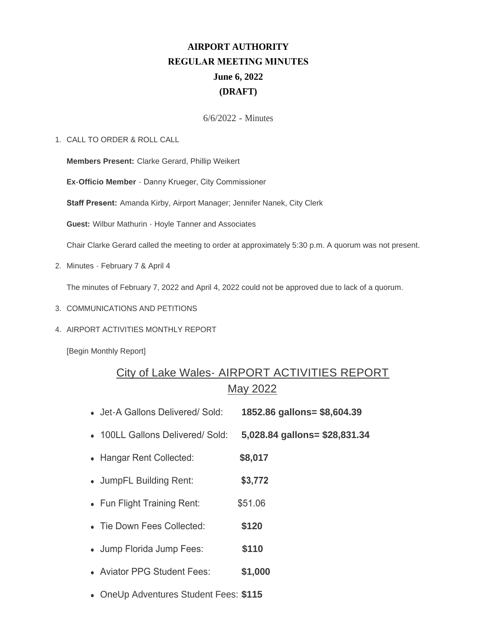# **AIRPORT AUTHORITY REGULAR MEETING MINUTES June 6, 2022 (DRAFT)**

## 6/6/2022 - Minutes

#### CALL TO ORDER & ROLL CALL 1.

**Members Present:** Clarke Gerard, Phillip Weikert

**Ex-Officio Member** - Danny Krueger, City Commissioner

**Staff Present:** Amanda Kirby, Airport Manager; Jennifer Nanek, City Clerk

**Guest:** Wilbur Mathurin - Hoyle Tanner and Associates

Chair Clarke Gerard called the meeting to order at approximately 5:30 p.m. A quorum was not present.

2. Minutes - February 7 & April 4

The minutes of February 7, 2022 and April 4, 2022 could not be approved due to lack of a quorum.

- 3. COMMUNICATIONS AND PETITIONS
- 4. AIRPORT ACTIVITIES MONTHLY REPORT

[Begin Monthly Report]

# City of Lake Wales- AIRPORT ACTIVITIES REPORT May 2022

- <sup>l</sup> Jet-A Gallons Delivered/ Sold: **1852.86 gallons= \$8,604.39**
- <sup>l</sup> 100LL Gallons Delivered/ Sold: **5,028.84 gallons= \$28,831.34**
- <sup>l</sup> Hangar Rent Collected: **\$8,017**
- <sup>l</sup> JumpFL Building Rent: **\$3,772**
- Fun Flight Training Rent: \$51.06
- <sup>l</sup> Tie Down Fees Collected: **\$120**
- <sup>l</sup> Jump Florida Jump Fees: **\$110**
- **.** Aviator PPG Student Fees: \$1,000
- **.** OneUp Adventures Student Fees: \$115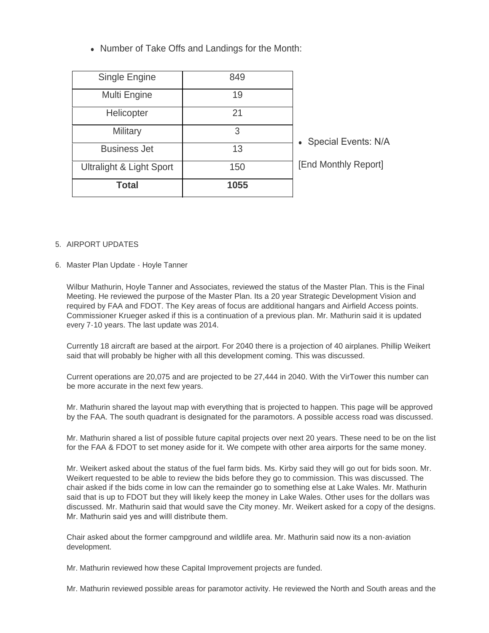• Number of Take Offs and Landings for the Month:

| <b>Total</b>             | 1055 |                       |
|--------------------------|------|-----------------------|
| Ultralight & Light Sport | 150  | [End Monthly Report]  |
| <b>Business Jet</b>      | 13   |                       |
| Military                 | 3    | • Special Events: N/A |
| Helicopter               | 21   |                       |
| Multi Engine             | 19   |                       |
| Single Engine            | 849  |                       |

#### 5. AIRPORT UPDATES

#### 6. Master Plan Update - Hoyle Tanner

Wilbur Mathurin, Hoyle Tanner and Associates, reviewed the status of the Master Plan. This is the Final Meeting. He reviewed the purpose of the Master Plan. Its a 20 year Strategic Development Vision and required by FAA and FDOT. The Key areas of focus are additional hangars and Airfield Access points. Commissioner Krueger asked if this is a continuation of a previous plan. Mr. Mathurin said it is updated every 7-10 years. The last update was 2014.

Currently 18 aircraft are based at the airport. For 2040 there is a projection of 40 airplanes. Phillip Weikert said that will probably be higher with all this development coming. This was discussed.

Current operations are 20,075 and are projected to be 27,444 in 2040. With the VirTower this number can be more accurate in the next few years.

Mr. Mathurin shared the layout map with everything that is projected to happen. This page will be approved by the FAA. The south quadrant is designated for the paramotors. A possible access road was discussed.

Mr. Mathurin shared a list of possible future capital projects over next 20 years. These need to be on the list for the FAA & FDOT to set money aside for it. We compete with other area airports for the same money.

Mr. Weikert asked about the status of the fuel farm bids. Ms. Kirby said they will go out for bids soon. Mr. Weikert requested to be able to review the bids before they go to commission. This was discussed. The chair asked if the bids come in low can the remainder go to something else at Lake Wales. Mr. Mathurin said that is up to FDOT but they will likely keep the money in Lake Wales. Other uses for the dollars was discussed. Mr. Mathurin said that would save the City money. Mr. Weikert asked for a copy of the designs. Mr. Mathurin said yes and willl distribute them.

Chair asked about the former campground and wildlife area. Mr. Mathurin said now its a non-aviation development.

Mr. Mathurin reviewed how these Capital Improvement projects are funded.

Mr. Mathurin reviewed possible areas for paramotor activity. He reviewed the North and South areas and the